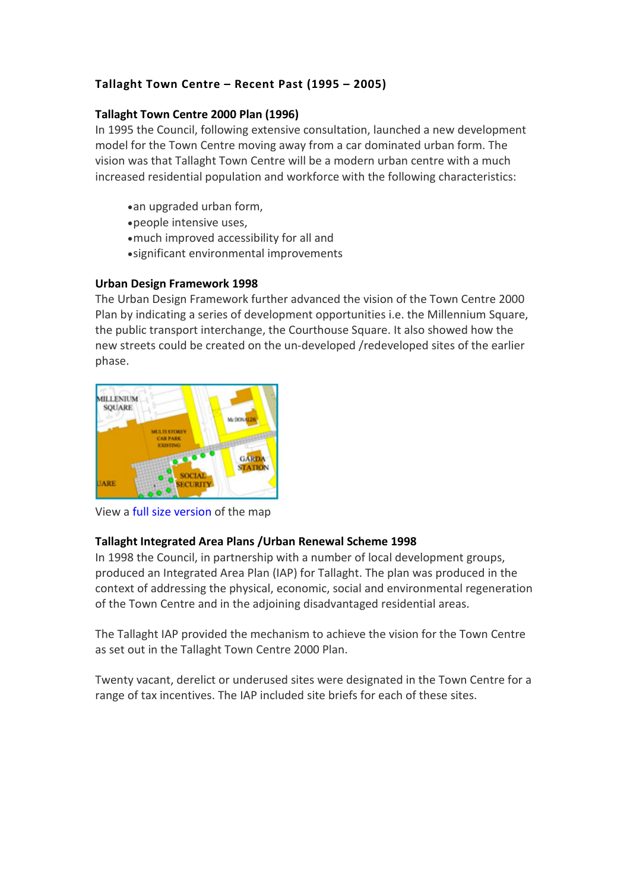# **Tallaght Town Centre – Recent Past (1995 – 2005)**

## **Tallaght Town Centre 2000 Plan (1996)**

In 1995 the Council, following extensive consultation, launched a new development model for the Town Centre moving away from a car dominated urban form. The vision was that Tallaght Town Centre will be a modern urban centre with a much increased residential population and workforce with the following characteristics:

- •an upgraded urban form,
- •people intensive uses,
- •much improved accessibility for all and
- •significant environmental improvements

#### **Urban Design Framework 1998**

The Urban Design Framework further advanced the vision of the Town Centre 2000 Plan by indicating a series of development opportunities i.e. the Millennium Square, the public transport interchange, the Courthouse Square. It also showed how the new streets could be created on the un-developed /redeveloped sites of the earlier phase.



View a [full size version](http://www.sdcc.ie/sites/default/files/publications/tallaghttowncentredevelopmentframeworkplanmap1998.pdf) of the map

# **Tallaght Integrated Area Plans /Urban Renewal Scheme 1998**

In 1998 the Council, in partnership with a number of local development groups, produced an Integrated Area Plan (IAP) for Tallaght. The plan was produced in the context of addressing the physical, economic, social and environmental regeneration of the Town Centre and in the adjoining disadvantaged residential areas.

The Tallaght IAP provided the mechanism to achieve the vision for the Town Centre as set out in the Tallaght Town Centre 2000 Plan.

Twenty vacant, derelict or underused sites were designated in the Town Centre for a range of tax incentives. The IAP included site briefs for each of these sites.